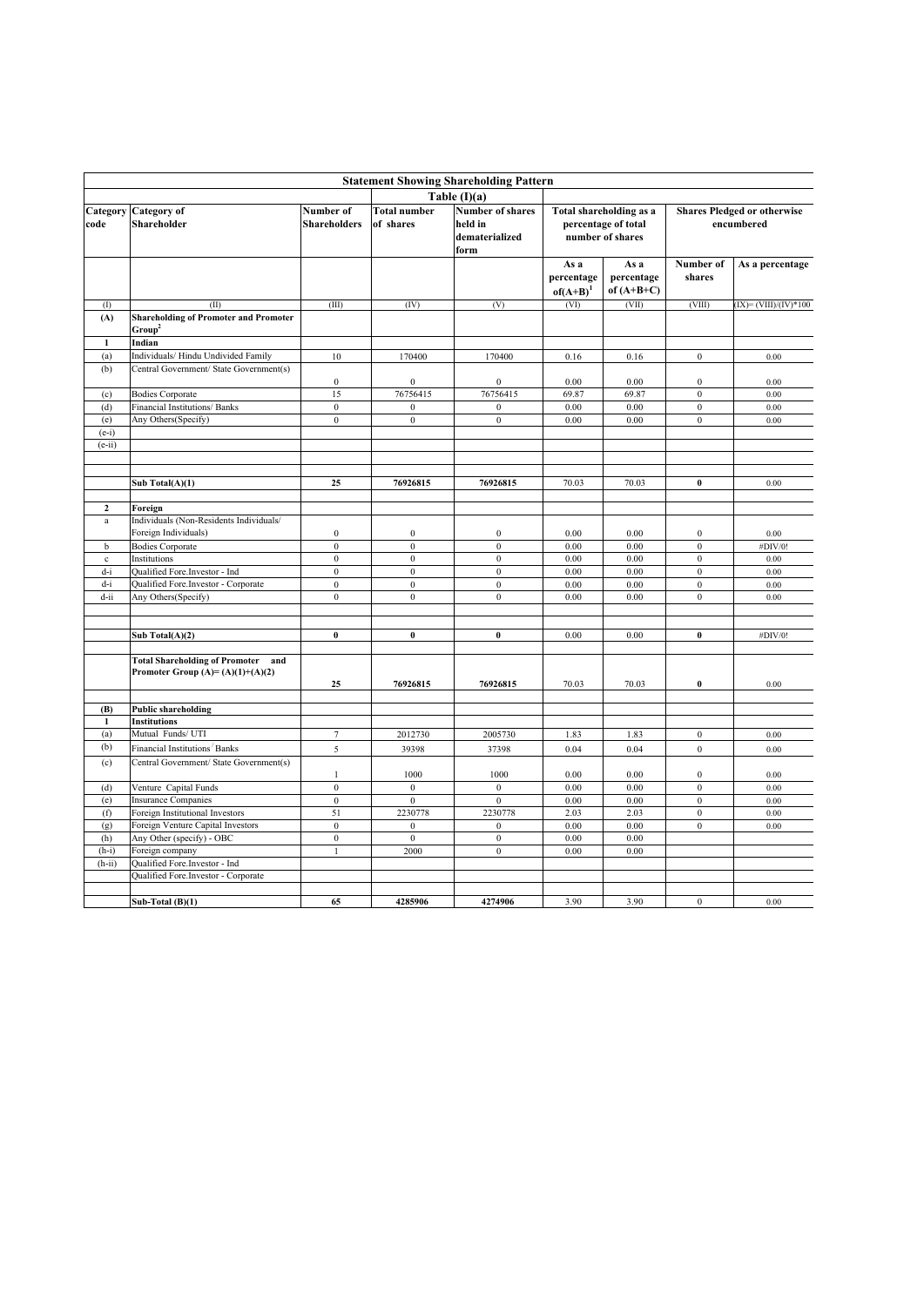| <b>Statement Showing Shareholding Pattern</b> |                                                                                    |                           |                                  |                                                              |                                                                    |                                    |                                                  |                        |  |  |  |
|-----------------------------------------------|------------------------------------------------------------------------------------|---------------------------|----------------------------------|--------------------------------------------------------------|--------------------------------------------------------------------|------------------------------------|--------------------------------------------------|------------------------|--|--|--|
|                                               |                                                                                    |                           |                                  | Table $(I)(a)$                                               |                                                                    |                                    |                                                  |                        |  |  |  |
| Category<br>code                              | Category of<br>Shareholder                                                         | Number of<br>Shareholders | <b>Total number</b><br>of shares | <b>Number of shares</b><br>held in<br>dematerialized<br>form | Total shareholding as a<br>percentage of total<br>number of shares |                                    | <b>Shares Pledged or otherwise</b><br>encumbered |                        |  |  |  |
|                                               |                                                                                    |                           |                                  |                                                              | As a<br>percentage<br>$of(A+B)^{1}$                                | As a<br>percentage<br>of $(A+B+C)$ | Number of<br>shares                              | As a percentage        |  |  |  |
| (1)                                           | (II)                                                                               | (III)                     | (IV)                             | (V)                                                          | (VI)                                                               | (VII)                              | (VIII)                                           | $IX = (VIII)/(IV)*100$ |  |  |  |
| (A)                                           | <b>Shareholding of Promoter and Promoter</b><br>Group <sup>2</sup>                 |                           |                                  |                                                              |                                                                    |                                    |                                                  |                        |  |  |  |
| 1                                             | Indian                                                                             |                           |                                  |                                                              |                                                                    |                                    |                                                  |                        |  |  |  |
| (a)                                           | Individuals/ Hindu Undivided Family                                                | 10                        | 170400                           | 170400                                                       | 0.16                                                               | 0.16                               | $\boldsymbol{0}$                                 | 0.00                   |  |  |  |
| (b)                                           | Central Government/ State Government(s)                                            | $\bf{0}$                  | $\boldsymbol{0}$                 | $\bf{0}$                                                     | 0.00                                                               | 0.00                               | $\boldsymbol{0}$                                 | 0.00                   |  |  |  |
| (c)                                           | <b>Bodies Corporate</b>                                                            | 15                        | 76756415                         | 76756415                                                     | 69.87                                                              | 69.87                              | $\overline{0}$                                   | 0.00                   |  |  |  |
| (d)                                           | Financial Institutions/ Banks                                                      | $\mathbf{0}$              | $\boldsymbol{0}$                 | $\bf{0}$                                                     | 0.00                                                               | 0.00                               | $\boldsymbol{0}$                                 | 0.00                   |  |  |  |
| (e)                                           | Any Others(Specify)                                                                | $\boldsymbol{0}$          | $\bf{0}$                         | $\boldsymbol{0}$                                             | 0.00                                                               | 0.00                               | $\overline{0}$                                   | 0.00                   |  |  |  |
| $(e-i)$<br>$(e-ii)$                           |                                                                                    |                           |                                  |                                                              |                                                                    |                                    |                                                  |                        |  |  |  |
|                                               | Sub Total(A)(1)                                                                    | 25                        | 76926815                         | 76926815                                                     | 70.03                                                              | 70.03                              | $\bf{0}$                                         | 0.00                   |  |  |  |
| $\overline{2}$                                | Foreign                                                                            |                           |                                  |                                                              |                                                                    |                                    |                                                  |                        |  |  |  |
| $\mathbf{a}$                                  | Individuals (Non-Residents Individuals/<br>Foreign Individuals)                    | $\boldsymbol{0}$          | $\boldsymbol{0}$                 | $\bf{0}$                                                     | 0.00                                                               | 0.00                               | $\boldsymbol{0}$                                 | 0.00                   |  |  |  |
| $\mathbf b$                                   | <b>Bodies Corporate</b>                                                            | $\mathbf{0}$              | $\boldsymbol{0}$                 | $\mathbf{0}$                                                 | 0.00                                                               | 0.00                               | $\mathbf{0}$                                     | #DIV/0!                |  |  |  |
| $\mathbf{c}$                                  | Institutions                                                                       | $\mathbf{0}$              | $\mathbf{0}$                     | $\mathbf{0}$                                                 | 0.00                                                               | 0.00                               | $\overline{0}$                                   | $0.00\,$               |  |  |  |
| d-i                                           | Qualified Fore.Investor - Ind                                                      | $\boldsymbol{0}$          | $\boldsymbol{0}$                 | $\boldsymbol{0}$                                             | 0.00                                                               | 0.00                               | $\boldsymbol{0}$                                 | 0.00                   |  |  |  |
| $d-i$                                         | Qualified Fore.Investor - Corporate                                                | $\boldsymbol{0}$          | $\boldsymbol{0}$                 | $\boldsymbol{0}$                                             | 0.00                                                               | 0.00                               | $\boldsymbol{0}$                                 | 0.00                   |  |  |  |
| $d$ -ii                                       | Any Others(Specify)                                                                | $\mathbf{0}$              | $\mathbf{0}$                     | $\mathbf{0}$                                                 | 0.00                                                               | 0.00                               | $\overline{0}$                                   | 0.00                   |  |  |  |
|                                               |                                                                                    |                           |                                  |                                                              |                                                                    |                                    |                                                  |                        |  |  |  |
|                                               | Sub Total(A)(2)                                                                    | $\bf{0}$                  | $\pmb{0}$                        | $\bf{0}$                                                     | 0.00                                                               | 0.00                               | $\bf{0}$                                         | #DIV/0!                |  |  |  |
|                                               | <b>Total Shareholding of Promoter</b><br>and<br>Promoter Group $(A)=(A)(1)+(A)(2)$ | 25                        | 76926815                         | 76926815                                                     | 70.03                                                              | 70.03                              | $\bf{0}$                                         | 0.00                   |  |  |  |
|                                               |                                                                                    |                           |                                  |                                                              |                                                                    |                                    |                                                  |                        |  |  |  |
| (B)<br>1                                      | <b>Public shareholding</b><br><b>Institutions</b>                                  |                           |                                  |                                                              |                                                                    |                                    |                                                  |                        |  |  |  |
| (a)                                           | Mutual Funds/UTI                                                                   | $\overline{7}$            | 2012730                          | 2005730                                                      | 1.83                                                               | 1.83                               | $\boldsymbol{0}$                                 | 0.00                   |  |  |  |
| (b)                                           | Financial Institutions Banks                                                       | 5                         | 39398                            | 37398                                                        | 0.04                                                               | 0.04                               | $\boldsymbol{0}$                                 | 0.00                   |  |  |  |
| (c)                                           | Central Government/ State Government(s)                                            |                           | 1000                             | 1000                                                         | 0.00                                                               | 0.00                               | $\boldsymbol{0}$                                 |                        |  |  |  |
| (d)                                           | Venture Capital Funds                                                              | 1<br>$\boldsymbol{0}$     | $\boldsymbol{0}$                 | $\bf{0}$                                                     | 0.00                                                               | 0.00                               | $\boldsymbol{0}$                                 | 0.00<br>0.00           |  |  |  |
| (e)                                           | <b>Insurance Companies</b>                                                         | $\boldsymbol{0}$          | $\overline{0}$                   | $\mathbf{0}$                                                 | 0.00                                                               | 0.00                               | $\boldsymbol{0}$                                 | 0.00                   |  |  |  |
| (f)                                           | Foreign Institutional Investors                                                    | 51                        | 2230778                          | 2230778                                                      | 2.03                                                               | 2.03                               | $\boldsymbol{0}$                                 | 0.00                   |  |  |  |
| (g)                                           | Foreign Venture Capital Investors                                                  | $\mathbf{0}$              | $\mathbf{0}$                     | $\mathbf{0}$                                                 | 0.00                                                               | 0.00                               | $\boldsymbol{0}$                                 | 0.00                   |  |  |  |
| (h)                                           | Any Other (specify) - OBC                                                          | $\bf{0}$                  | $\boldsymbol{0}$                 | $\bf{0}$                                                     | 0.00                                                               | 0.00                               |                                                  |                        |  |  |  |
| $(h-i)$                                       | Foreign company                                                                    | $\mathbf{1}$              | 2000                             | $\boldsymbol{0}$                                             | 0.00                                                               | 0.00                               |                                                  |                        |  |  |  |
| $(h-ii)$                                      | Qualified Fore.Investor - Ind                                                      |                           |                                  |                                                              |                                                                    |                                    |                                                  |                        |  |  |  |
|                                               | Qualified Fore.Investor - Corporate                                                |                           |                                  |                                                              |                                                                    |                                    |                                                  |                        |  |  |  |
|                                               | Sub-Total $(B)(1)$                                                                 | 65                        | 4285906                          | 4274906                                                      | 3.90                                                               | 3.90                               | $\boldsymbol{0}$                                 | 0.00                   |  |  |  |
|                                               |                                                                                    |                           |                                  |                                                              |                                                                    |                                    |                                                  |                        |  |  |  |